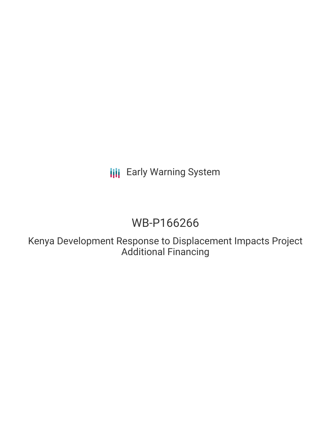**III** Early Warning System

# WB-P166266

Kenya Development Response to Displacement Impacts Project Additional Financing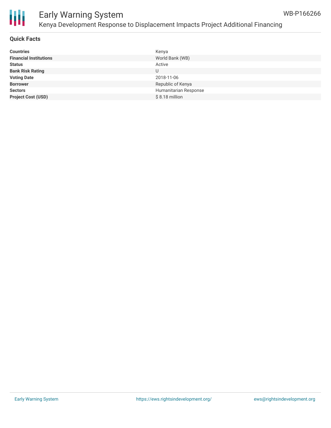

#### **Quick Facts**

| <b>Countries</b>              | Kenya                 |
|-------------------------------|-----------------------|
| <b>Financial Institutions</b> | World Bank (WB)       |
| <b>Status</b>                 | Active                |
| <b>Bank Risk Rating</b>       | U                     |
| <b>Voting Date</b>            | 2018-11-06            |
| <b>Borrower</b>               | Republic of Kenya     |
| <b>Sectors</b>                | Humanitarian Response |
| <b>Project Cost (USD)</b>     | $$8.18$ million       |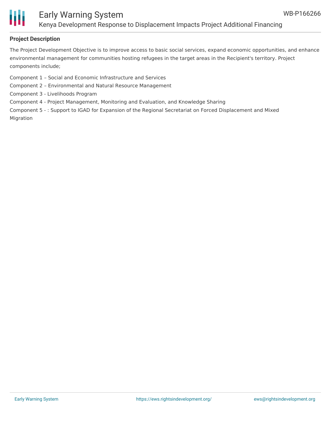

## Early Warning System Kenya Development Response to Displacement Impacts Project Additional Financing

### **Project Description**

The Project Development Objective is to improve access to basic social services, expand economic opportunities, and enhance environmental management for communities hosting refugees in the target areas in the Recipient's territory. Project components include;

Component 1 – Social and Economic Infrastructure and Services

- Component 2 Environmental and Natural Resource Management
- Component 3 Livelihoods Program

Component 4 - Project Management, Monitoring and Evaluation, and Knowledge Sharing

Component 5 - : Support to IGAD for Expansion of the Regional Secretariat on Forced Displacement and Mixed Migration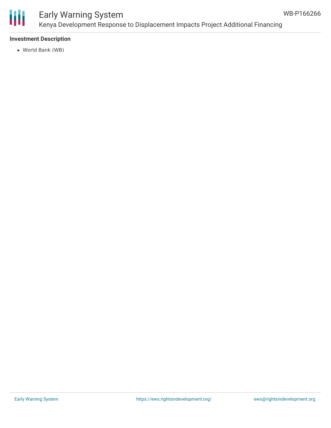

## Early Warning System Kenya Development Response to Displacement Impacts Project Additional Financing

## **Investment Description**

World Bank (WB)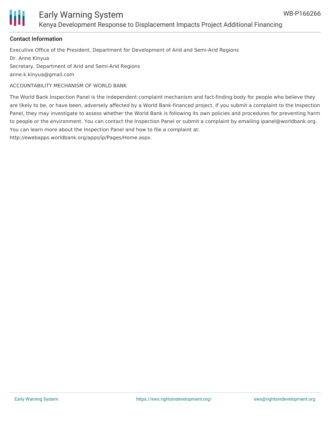

## Early Warning System Kenya Development Response to Displacement Impacts Project Additional Financing

### **Contact Information**

Executive Office of the President, Department for Development of Arid and Semi-Arid Regions Dr. Anne Kinyua Secretary, Department of Arid and Semi-Arid Regions anne.k.kinyua@gmail.com

ACCOUNTABILITY MECHANISM OF WORLD BANK

The World Bank Inspection Panel is the independent complaint mechanism and fact-finding body for people who believe they are likely to be, or have been, adversely affected by a World Bank-financed project. If you submit a complaint to the Inspection Panel, they may investigate to assess whether the World Bank is following its own policies and procedures for preventing harm to people or the environment. You can contact the Inspection Panel or submit a complaint by emailing ipanel@worldbank.org. You can learn more about the Inspection Panel and how to file a complaint at:

http://ewebapps.worldbank.org/apps/ip/Pages/Home.aspx.